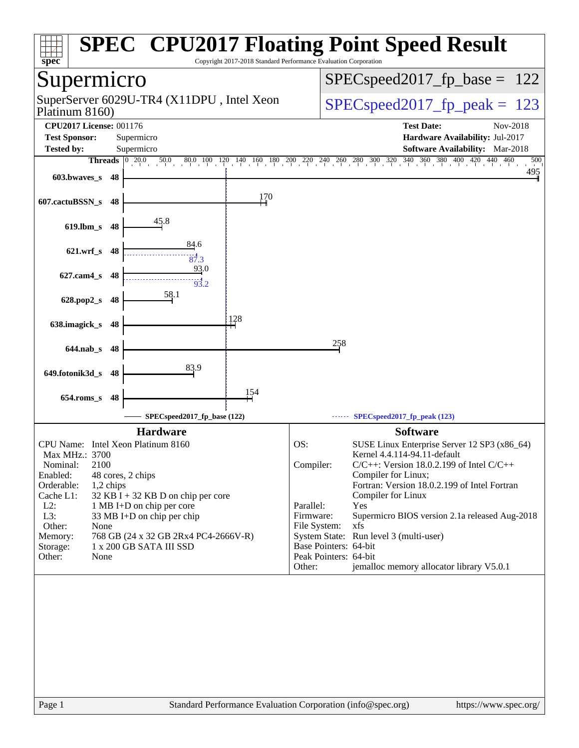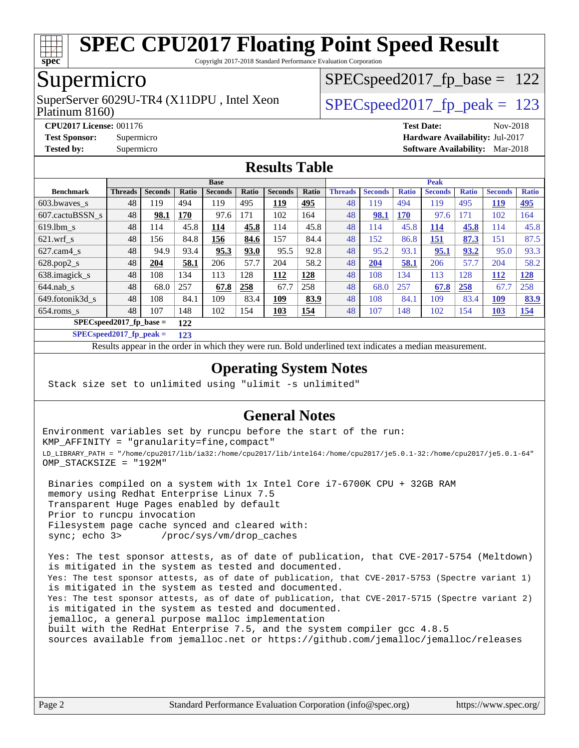

Copyright 2017-2018 Standard Performance Evaluation Corporation

## Supermicro

Platinum 8160) SuperServer 6029U-TR4 (X11DPU, Intel Xeon  $SPEC speed2017$  fp\_peak = 123

SPECspeed2017 fp base =  $122$ 

**[CPU2017 License:](http://www.spec.org/auto/cpu2017/Docs/result-fields.html#CPU2017License)** 001176 **[Test Date:](http://www.spec.org/auto/cpu2017/Docs/result-fields.html#TestDate)** Nov-2018 **[Test Sponsor:](http://www.spec.org/auto/cpu2017/Docs/result-fields.html#TestSponsor)** Supermicro **[Hardware Availability:](http://www.spec.org/auto/cpu2017/Docs/result-fields.html#HardwareAvailability)** Jul-2017 **[Tested by:](http://www.spec.org/auto/cpu2017/Docs/result-fields.html#Testedby)** Supermicro **[Software Availability:](http://www.spec.org/auto/cpu2017/Docs/result-fields.html#SoftwareAvailability)** Mar-2018

#### **[Results Table](http://www.spec.org/auto/cpu2017/Docs/result-fields.html#ResultsTable)**

|                                  | <b>Base</b>    |                |       |                |       | <b>Peak</b>    |            |                |                |              |                |              |                |              |
|----------------------------------|----------------|----------------|-------|----------------|-------|----------------|------------|----------------|----------------|--------------|----------------|--------------|----------------|--------------|
| <b>Benchmark</b>                 | <b>Threads</b> | <b>Seconds</b> | Ratio | <b>Seconds</b> | Ratio | <b>Seconds</b> | Ratio      | <b>Threads</b> | <b>Seconds</b> | <b>Ratio</b> | <b>Seconds</b> | <b>Ratio</b> | <b>Seconds</b> | <b>Ratio</b> |
| 603.bwayes s                     | 48             | 119            | 494   | 119            | 495   | <u>119</u>     | 495        | 48             | 119            | 494          | 119            | 495          | <u>119</u>     | <u>495</u>   |
| 607.cactuBSSN s                  | 48             | 98.1           | 170   | 97.6           | 171   | 102            | 164        | 48             | 98.1           | <b>170</b>   | 97.6           | 171          | 102            | 164          |
| $619.1$ bm s                     | 48             | 114            | 45.8  | 114            | 45.8  | 114            | 45.8       | 48             | 114            | 45.8         | <u>114</u>     | 45.8         | 114            | 45.8         |
| $621$ .wrf s                     | 48             | 156            | 84.8  | 156            | 84.6  | 157            | 84.4       | 48             | 152            | 86.8         | 151            | 87.3         | 151            | 87.5         |
| $627$ .cam4 s                    | 48             | 94.9           | 93.4  | 95.3           | 93.0  | 95.5           | 92.8       | 48             | 95.2           | 93.1         | 95.1           | 93.2         | 95.0           | 93.3         |
| $628.pop2_s$                     | 48             | 204            | 58.1  | 206            | 57.7  | 204            | 58.2       | 48             | 204            | 58.1         | 206            | 57.7         | 204            | 58.2         |
| 638.imagick_s                    | 48             | 108            | 134   | 113            | 128   | 112            | 128        | 48             | 108            | 134          | 113            | 128          | <u>112</u>     | <u>128</u>   |
| $644$ .nab s                     | 48             | 68.0           | 257   | 67.8           | 258   | 67.7           | 258        | 48             | 68.0           | 257          | 67.8           | 258          | 67.7           | 258          |
| 649.fotonik3d s                  | 48             | 108            | 84.1  | 109            | 83.4  | 109            | 83.9       | 48             | 108            | 84.1         | 109            | 83.4         | <u>109</u>     | 83.9         |
| $654$ .roms_s                    | 48             | 107            | 148   | 102            | 154   | 103            | <b>154</b> | 48             | 107            | 148          | 102            | 154          | <b>103</b>     | <u>154</u>   |
| $SPECspeed2017$ fp base =<br>122 |                |                |       |                |       |                |            |                |                |              |                |              |                |              |

**[SPECspeed2017\\_fp\\_peak =](http://www.spec.org/auto/cpu2017/Docs/result-fields.html#SPECspeed2017fppeak) 123**

Results appear in the [order in which they were run.](http://www.spec.org/auto/cpu2017/Docs/result-fields.html#RunOrder) Bold underlined text [indicates a median measurement](http://www.spec.org/auto/cpu2017/Docs/result-fields.html#Median).

#### **[Operating System Notes](http://www.spec.org/auto/cpu2017/Docs/result-fields.html#OperatingSystemNotes)**

Stack size set to unlimited using "ulimit -s unlimited"

#### **[General Notes](http://www.spec.org/auto/cpu2017/Docs/result-fields.html#GeneralNotes)**

Environment variables set by runcpu before the start of the run: KMP\_AFFINITY = "granularity=fine,compact" LD\_LIBRARY\_PATH = "/home/cpu2017/lib/ia32:/home/cpu2017/lib/intel64:/home/cpu2017/je5.0.1-32:/home/cpu2017/je5.0.1-64" OMP\_STACKSIZE = "192M"

 Binaries compiled on a system with 1x Intel Core i7-6700K CPU + 32GB RAM memory using Redhat Enterprise Linux 7.5 Transparent Huge Pages enabled by default Prior to runcpu invocation Filesystem page cache synced and cleared with: sync; echo 3> /proc/sys/vm/drop\_caches

 Yes: The test sponsor attests, as of date of publication, that CVE-2017-5754 (Meltdown) is mitigated in the system as tested and documented. Yes: The test sponsor attests, as of date of publication, that CVE-2017-5753 (Spectre variant 1) is mitigated in the system as tested and documented. Yes: The test sponsor attests, as of date of publication, that CVE-2017-5715 (Spectre variant 2) is mitigated in the system as tested and documented. jemalloc, a general purpose malloc implementation built with the RedHat Enterprise 7.5, and the system compiler gcc 4.8.5 sources available from jemalloc.net or <https://github.com/jemalloc/jemalloc/releases>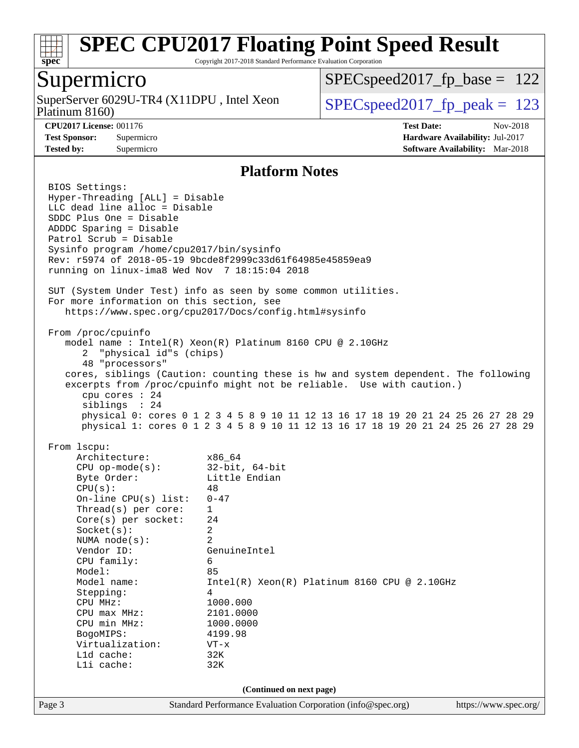

Copyright 2017-2018 Standard Performance Evaluation Corporation

# Supermicro

Platinum 8160) SuperServer 6029U-TR4 (X11DPU, Intel Xeon  $SPEC speed2017_fp\_peak = 123$ 

[SPECspeed2017\\_fp\\_base =](http://www.spec.org/auto/cpu2017/Docs/result-fields.html#SPECspeed2017fpbase) 122

**[CPU2017 License:](http://www.spec.org/auto/cpu2017/Docs/result-fields.html#CPU2017License)** 001176 **[Test Date:](http://www.spec.org/auto/cpu2017/Docs/result-fields.html#TestDate)** Nov-2018 **[Test Sponsor:](http://www.spec.org/auto/cpu2017/Docs/result-fields.html#TestSponsor)** Supermicro **[Hardware Availability:](http://www.spec.org/auto/cpu2017/Docs/result-fields.html#HardwareAvailability)** Jul-2017 **[Tested by:](http://www.spec.org/auto/cpu2017/Docs/result-fields.html#Testedby)** Supermicro **Supermicro [Software Availability:](http://www.spec.org/auto/cpu2017/Docs/result-fields.html#SoftwareAvailability)** Mar-2018

### **[Platform Notes](http://www.spec.org/auto/cpu2017/Docs/result-fields.html#PlatformNotes)**

|        | BIOS Settings:<br>Hyper-Threading [ALL] = Disable<br>LLC dead line alloc = Disable<br>SDDC Plus One = Disable                                                                                                                                                                                                                                                                |                                                                                                                                                                                                                                                                                                                                                                                                    |                       |
|--------|------------------------------------------------------------------------------------------------------------------------------------------------------------------------------------------------------------------------------------------------------------------------------------------------------------------------------------------------------------------------------|----------------------------------------------------------------------------------------------------------------------------------------------------------------------------------------------------------------------------------------------------------------------------------------------------------------------------------------------------------------------------------------------------|-----------------------|
|        | ADDDC Sparing = Disable<br>Patrol Scrub = Disable<br>Sysinfo program /home/cpu2017/bin/sysinfo<br>running on linux-ima8 Wed Nov 7 18:15:04 2018                                                                                                                                                                                                                              | Rev: r5974 of 2018-05-19 9bcde8f2999c33d61f64985e45859ea9                                                                                                                                                                                                                                                                                                                                          |                       |
|        | For more information on this section, see                                                                                                                                                                                                                                                                                                                                    | SUT (System Under Test) info as seen by some common utilities.<br>https://www.spec.org/cpu2017/Docs/config.html#sysinfo                                                                                                                                                                                                                                                                            |                       |
|        | From /proc/cpuinfo<br>2 "physical id"s (chips)<br>48 "processors"<br>cpu cores $: 24$<br>siblings : 24                                                                                                                                                                                                                                                                       | model name : Intel(R) Xeon(R) Platinum 8160 CPU @ 2.10GHz<br>cores, siblings (Caution: counting these is hw and system dependent. The following<br>excerpts from /proc/cpuinfo might not be reliable. Use with caution.)<br>physical 0: cores 0 1 2 3 4 5 8 9 10 11 12 13 16 17 18 19 20 21 24 25 26 27 28 29<br>physical 1: cores 0 1 2 3 4 5 8 9 10 11 12 13 16 17 18 19 20 21 24 25 26 27 28 29 |                       |
|        | From 1scpu:<br>Architecture:<br>CPU op-mode(s): $32-bit, 64-bit$<br>Byte Order:<br>CPU(s):<br>On-line CPU(s) list:<br>Thread(s) per core:<br>Core(s) per socket:<br>Socket(s):<br>NUMA $node(s):$<br>Vendor ID:<br>CPU family:<br>Model:<br>Model name:<br>Stepping:<br>CPU MHz:<br>CPU max MHz:<br>CPU min MHz:<br>BogoMIPS:<br>Virtualization:<br>L1d cache:<br>Lli cache: | x86_64<br>Little Endian<br>48<br>$0 - 47$<br>$\mathbf{1}$<br>24<br>2<br>$\overline{a}$<br>GenuineIntel<br>6<br>85<br>$Intel(R) Xeon(R) Platinum 8160 CPU @ 2.10GHz$<br>4<br>1000.000<br>2101.0000<br>1000.0000<br>4199.98<br>$VT - x$<br>32K<br>32K                                                                                                                                                |                       |
| Page 3 |                                                                                                                                                                                                                                                                                                                                                                              | (Continued on next page)<br>Standard Performance Evaluation Corporation (info@spec.org)                                                                                                                                                                                                                                                                                                            | https://www.spec.org/ |
|        |                                                                                                                                                                                                                                                                                                                                                                              |                                                                                                                                                                                                                                                                                                                                                                                                    |                       |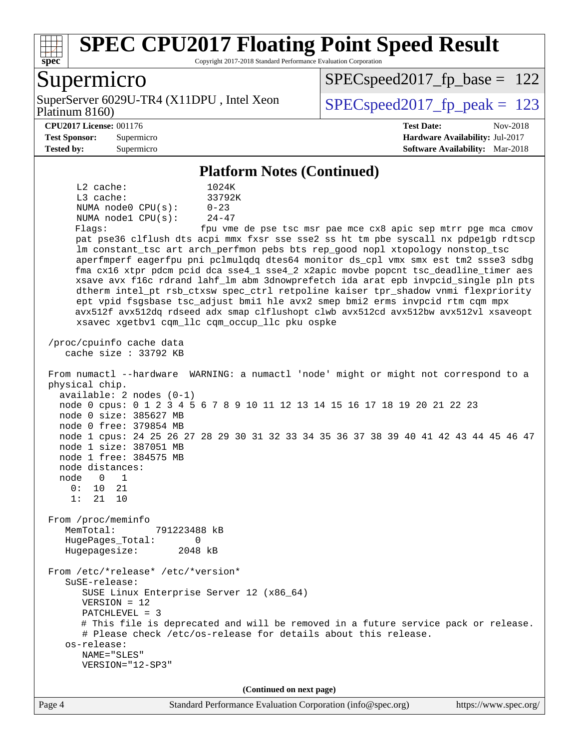

Copyright 2017-2018 Standard Performance Evaluation Corporation

### Supermicro

Platinum 8160) SuperServer 6029U-TR4 (X11DPU, Intel Xeon  $SPEC speed2017$  fp\_peak = 123

SPECspeed2017 fp base =  $122$ 

#### **[CPU2017 License:](http://www.spec.org/auto/cpu2017/Docs/result-fields.html#CPU2017License)** 001176 **[Test Date:](http://www.spec.org/auto/cpu2017/Docs/result-fields.html#TestDate)** Nov-2018

**[Test Sponsor:](http://www.spec.org/auto/cpu2017/Docs/result-fields.html#TestSponsor)** Supermicro **[Hardware Availability:](http://www.spec.org/auto/cpu2017/Docs/result-fields.html#HardwareAvailability)** Jul-2017 **[Tested by:](http://www.spec.org/auto/cpu2017/Docs/result-fields.html#Testedby)** Supermicro **[Software Availability:](http://www.spec.org/auto/cpu2017/Docs/result-fields.html#SoftwareAvailability)** Mar-2018

#### **[Platform Notes \(Continued\)](http://www.spec.org/auto/cpu2017/Docs/result-fields.html#PlatformNotes)**

 L2 cache: 1024K L3 cache: 33792K NUMA node0  $CPU(s):$  0-23<br>NUMA node1  $CPU(s):$  24-47 NUMA nodel  $CPU(s)$ :

Flags: fpu vme de pse tsc msr pae mce cx8 apic sep mtrr pge mca cmov pat pse36 clflush dts acpi mmx fxsr sse sse2 ss ht tm pbe syscall nx pdpe1gb rdtscp lm constant\_tsc art arch\_perfmon pebs bts rep\_good nopl xtopology nonstop\_tsc aperfmperf eagerfpu pni pclmulqdq dtes64 monitor ds\_cpl vmx smx est tm2 ssse3 sdbg fma cx16 xtpr pdcm pcid dca sse4\_1 sse4\_2 x2apic movbe popcnt tsc\_deadline\_timer aes xsave avx f16c rdrand lahf\_lm abm 3dnowprefetch ida arat epb invpcid\_single pln pts dtherm intel\_pt rsb\_ctxsw spec\_ctrl retpoline kaiser tpr\_shadow vnmi flexpriority ept vpid fsgsbase tsc\_adjust bmi1 hle avx2 smep bmi2 erms invpcid rtm cqm mpx avx512f avx512dq rdseed adx smap clflushopt clwb avx512cd avx512bw avx512vl xsaveopt xsavec xgetbv1 cqm\_llc cqm\_occup\_llc pku ospke

 /proc/cpuinfo cache data cache size : 33792 KB

Hugepagesize: 2048 kB

 From numactl --hardware WARNING: a numactl 'node' might or might not correspond to a physical chip. available: 2 nodes (0-1) node 0 cpus: 0 1 2 3 4 5 6 7 8 9 10 11 12 13 14 15 16 17 18 19 20 21 22 23 node 0 size: 385627 MB node 0 free: 379854 MB node 1 cpus: 24 25 26 27 28 29 30 31 32 33 34 35 36 37 38 39 40 41 42 43 44 45 46 47 node 1 size: 387051 MB node 1 free: 384575 MB node distances: node 0 1 0: 10 21 1: 21 10 From /proc/meminfo MemTotal: 791223488 kB HugePages\_Total: 0

 From /etc/\*release\* /etc/\*version\* SuSE-release: SUSE Linux Enterprise Server 12 (x86\_64) VERSION = 12 PATCHLEVEL = 3 # This file is deprecated and will be removed in a future service pack or release. # Please check /etc/os-release for details about this release. os-release: NAME="SLES" VERSION="12-SP3"

**(Continued on next page)**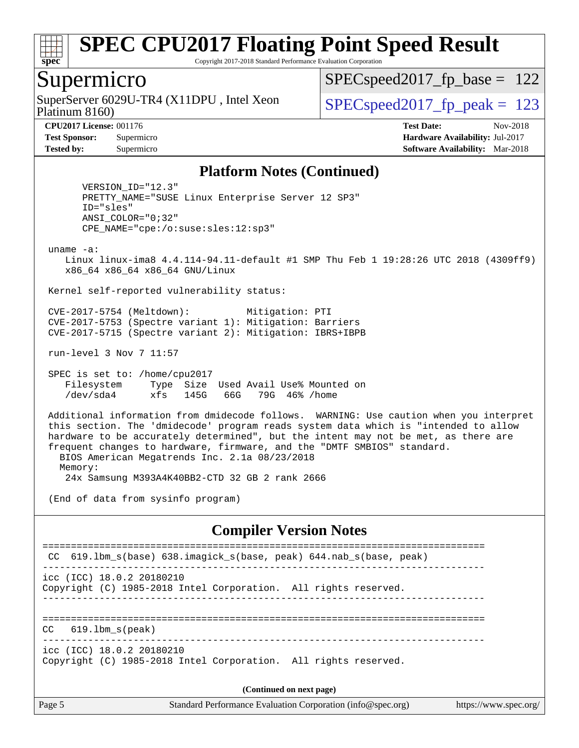

Copyright 2017-2018 Standard Performance Evaluation Corporation

### Supermicro

Platinum 8160) SuperServer 6029U-TR4 (X11DPU, Intel Xeon  $SPEC speed2017$  fp\_peak = 123

SPECspeed2017 fp base =  $122$ 

**[CPU2017 License:](http://www.spec.org/auto/cpu2017/Docs/result-fields.html#CPU2017License)** 001176 **[Test Date:](http://www.spec.org/auto/cpu2017/Docs/result-fields.html#TestDate)** Nov-2018 **[Test Sponsor:](http://www.spec.org/auto/cpu2017/Docs/result-fields.html#TestSponsor)** Supermicro **[Hardware Availability:](http://www.spec.org/auto/cpu2017/Docs/result-fields.html#HardwareAvailability)** Jul-2017 **[Tested by:](http://www.spec.org/auto/cpu2017/Docs/result-fields.html#Testedby)** Supermicro **[Software Availability:](http://www.spec.org/auto/cpu2017/Docs/result-fields.html#SoftwareAvailability)** Mar-2018

#### **[Platform Notes \(Continued\)](http://www.spec.org/auto/cpu2017/Docs/result-fields.html#PlatformNotes)**

 VERSION\_ID="12.3" PRETTY\_NAME="SUSE Linux Enterprise Server 12 SP3" ID="sles" ANSI\_COLOR="0;32" CPE\_NAME="cpe:/o:suse:sles:12:sp3"

uname -a:

 Linux linux-ima8 4.4.114-94.11-default #1 SMP Thu Feb 1 19:28:26 UTC 2018 (4309ff9) x86\_64 x86\_64 x86\_64 GNU/Linux

Kernel self-reported vulnerability status:

 CVE-2017-5754 (Meltdown): Mitigation: PTI CVE-2017-5753 (Spectre variant 1): Mitigation: Barriers CVE-2017-5715 (Spectre variant 2): Mitigation: IBRS+IBPB

run-level 3 Nov 7 11:57

 SPEC is set to: /home/cpu2017 Filesystem Type Size Used Avail Use% Mounted on /dev/sda4 xfs 145G 66G 79G 46% /home

 Additional information from dmidecode follows. WARNING: Use caution when you interpret this section. The 'dmidecode' program reads system data which is "intended to allow hardware to be accurately determined", but the intent may not be met, as there are frequent changes to hardware, firmware, and the "DMTF SMBIOS" standard. BIOS American Megatrends Inc. 2.1a 08/23/2018 Memory:

24x Samsung M393A4K40BB2-CTD 32 GB 2 rank 2666

(End of data from sysinfo program)

#### **[Compiler Version Notes](http://www.spec.org/auto/cpu2017/Docs/result-fields.html#CompilerVersionNotes)**

```
==============================================================================
 CC 619.lbm_s(base) 638.imagick_s(base, peak) 644.nab_s(base, peak) 
------------------------------------------------------------------------------
icc (ICC) 18.0.2 20180210
Copyright (C) 1985-2018 Intel Corporation. All rights reserved.
------------------------------------------------------------------------------
==============================================================================
CC 619.lbm_s(peak) 
------------------------------------------------------------------------------
icc (ICC) 18.0.2 20180210
Copyright (C) 1985-2018 Intel Corporation. All rights reserved.
                                    (Continued on next page)
```
Page 5 Standard Performance Evaluation Corporation [\(info@spec.org\)](mailto:info@spec.org) <https://www.spec.org/>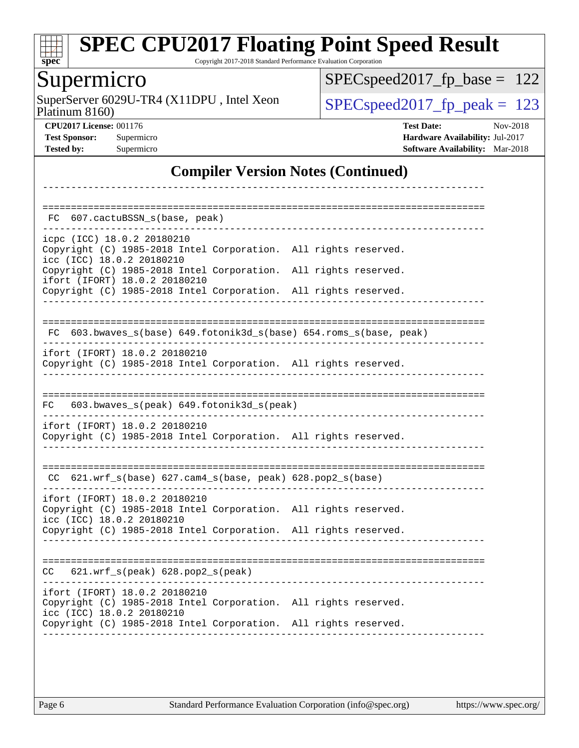

Copyright 2017-2018 Standard Performance Evaluation Corporation

# Supermicro

Platinum 8160) SuperServer  $6029U$ -TR4 (X11DPU, Intel Xeon [SPECspeed2017\\_fp\\_peak =](http://www.spec.org/auto/cpu2017/Docs/result-fields.html#SPECspeed2017fppeak) 123

[SPECspeed2017\\_fp\\_base =](http://www.spec.org/auto/cpu2017/Docs/result-fields.html#SPECspeed2017fpbase) 122

**[CPU2017 License:](http://www.spec.org/auto/cpu2017/Docs/result-fields.html#CPU2017License)** 001176 **[Test Date:](http://www.spec.org/auto/cpu2017/Docs/result-fields.html#TestDate)** Nov-2018 **[Test Sponsor:](http://www.spec.org/auto/cpu2017/Docs/result-fields.html#TestSponsor)** Supermicro **[Hardware Availability:](http://www.spec.org/auto/cpu2017/Docs/result-fields.html#HardwareAvailability)** Jul-2017 **[Tested by:](http://www.spec.org/auto/cpu2017/Docs/result-fields.html#Testedby)** Supermicro **[Software Availability:](http://www.spec.org/auto/cpu2017/Docs/result-fields.html#SoftwareAvailability)** Mar-2018

### **[Compiler Version Notes \(Continued\)](http://www.spec.org/auto/cpu2017/Docs/result-fields.html#CompilerVersionNotes)**

| 607.cactuBSSN_s(base, peak)<br>FC.                                                                                            |  |  |
|-------------------------------------------------------------------------------------------------------------------------------|--|--|
| icpc (ICC) 18.0.2 20180210<br>Copyright (C) 1985-2018 Intel Corporation. All rights reserved.<br>icc (ICC) 18.0.2 20180210    |  |  |
| Copyright (C) 1985-2018 Intel Corporation. All rights reserved.<br>ifort (IFORT) 18.0.2 20180210                              |  |  |
| Copyright (C) 1985-2018 Intel Corporation. All rights reserved.                                                               |  |  |
| 603.bwaves_s(base) 649.fotonik3d_s(base) 654.roms_s(base, peak)<br>FC.                                                        |  |  |
| ifort (IFORT) 18.0.2 20180210<br>Copyright (C) 1985-2018 Intel Corporation. All rights reserved.                              |  |  |
| 603.bwaves_s(peak) 649.fotonik3d_s(peak)<br>FC                                                                                |  |  |
| ifort (IFORT) 18.0.2 20180210<br>Copyright (C) 1985-2018 Intel Corporation. All rights reserved.                              |  |  |
| CC 621.wrf_s(base) 627.cam4_s(base, peak) 628.pop2_s(base)                                                                    |  |  |
| ifort (IFORT) 18.0.2 20180210<br>Copyright (C) 1985-2018 Intel Corporation. All rights reserved.<br>icc (ICC) 18.0.2 20180210 |  |  |
| Copyright (C) 1985-2018 Intel Corporation. All rights reserved.                                                               |  |  |
| 621.wrf_s(peak) 628.pop2_s(peak)<br>CC.                                                                                       |  |  |
| ifort (IFORT) 18.0.2 20180210<br>Copyright (C) 1985-2018 Intel Corporation. All rights reserved.<br>icc (ICC) 18.0.2 20180210 |  |  |
| Copyright (C) 1985-2018 Intel Corporation. All rights reserved.                                                               |  |  |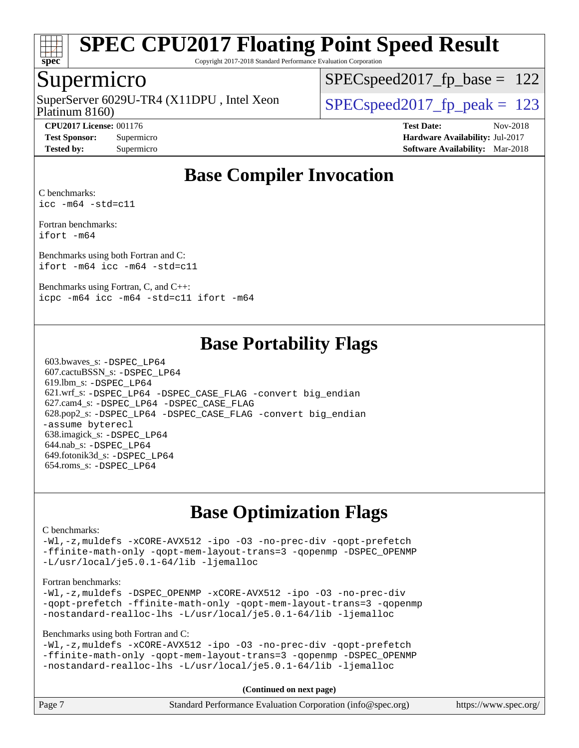

Copyright 2017-2018 Standard Performance Evaluation Corporation

### Supermicro

Platinum 8160) SuperServer 6029U-TR4 (X11DPU, Intel Xeon  $SPEC speed2017$  fp\_peak = 123

SPECspeed2017 fp base =  $122$ 

**[CPU2017 License:](http://www.spec.org/auto/cpu2017/Docs/result-fields.html#CPU2017License)** 001176 **[Test Date:](http://www.spec.org/auto/cpu2017/Docs/result-fields.html#TestDate)** Nov-2018 **[Test Sponsor:](http://www.spec.org/auto/cpu2017/Docs/result-fields.html#TestSponsor)** Supermicro **[Hardware Availability:](http://www.spec.org/auto/cpu2017/Docs/result-fields.html#HardwareAvailability)** Jul-2017 **[Tested by:](http://www.spec.org/auto/cpu2017/Docs/result-fields.html#Testedby)** Supermicro **[Software Availability:](http://www.spec.org/auto/cpu2017/Docs/result-fields.html#SoftwareAvailability)** Mar-2018

# **[Base Compiler Invocation](http://www.spec.org/auto/cpu2017/Docs/result-fields.html#BaseCompilerInvocation)**

[C benchmarks](http://www.spec.org/auto/cpu2017/Docs/result-fields.html#Cbenchmarks): [icc -m64 -std=c11](http://www.spec.org/cpu2017/results/res2018q4/cpu2017-20181112-09661.flags.html#user_CCbase_intel_icc_64bit_c11_33ee0cdaae7deeeab2a9725423ba97205ce30f63b9926c2519791662299b76a0318f32ddfffdc46587804de3178b4f9328c46fa7c2b0cd779d7a61945c91cd35)

[Fortran benchmarks](http://www.spec.org/auto/cpu2017/Docs/result-fields.html#Fortranbenchmarks): [ifort -m64](http://www.spec.org/cpu2017/results/res2018q4/cpu2017-20181112-09661.flags.html#user_FCbase_intel_ifort_64bit_24f2bb282fbaeffd6157abe4f878425411749daecae9a33200eee2bee2fe76f3b89351d69a8130dd5949958ce389cf37ff59a95e7a40d588e8d3a57e0c3fd751)

[Benchmarks using both Fortran and C](http://www.spec.org/auto/cpu2017/Docs/result-fields.html#BenchmarksusingbothFortranandC): [ifort -m64](http://www.spec.org/cpu2017/results/res2018q4/cpu2017-20181112-09661.flags.html#user_CC_FCbase_intel_ifort_64bit_24f2bb282fbaeffd6157abe4f878425411749daecae9a33200eee2bee2fe76f3b89351d69a8130dd5949958ce389cf37ff59a95e7a40d588e8d3a57e0c3fd751) [icc -m64 -std=c11](http://www.spec.org/cpu2017/results/res2018q4/cpu2017-20181112-09661.flags.html#user_CC_FCbase_intel_icc_64bit_c11_33ee0cdaae7deeeab2a9725423ba97205ce30f63b9926c2519791662299b76a0318f32ddfffdc46587804de3178b4f9328c46fa7c2b0cd779d7a61945c91cd35)

[Benchmarks using Fortran, C, and C++:](http://www.spec.org/auto/cpu2017/Docs/result-fields.html#BenchmarksusingFortranCandCXX) [icpc -m64](http://www.spec.org/cpu2017/results/res2018q4/cpu2017-20181112-09661.flags.html#user_CC_CXX_FCbase_intel_icpc_64bit_4ecb2543ae3f1412ef961e0650ca070fec7b7afdcd6ed48761b84423119d1bf6bdf5cad15b44d48e7256388bc77273b966e5eb805aefd121eb22e9299b2ec9d9) [icc -m64 -std=c11](http://www.spec.org/cpu2017/results/res2018q4/cpu2017-20181112-09661.flags.html#user_CC_CXX_FCbase_intel_icc_64bit_c11_33ee0cdaae7deeeab2a9725423ba97205ce30f63b9926c2519791662299b76a0318f32ddfffdc46587804de3178b4f9328c46fa7c2b0cd779d7a61945c91cd35) [ifort -m64](http://www.spec.org/cpu2017/results/res2018q4/cpu2017-20181112-09661.flags.html#user_CC_CXX_FCbase_intel_ifort_64bit_24f2bb282fbaeffd6157abe4f878425411749daecae9a33200eee2bee2fe76f3b89351d69a8130dd5949958ce389cf37ff59a95e7a40d588e8d3a57e0c3fd751)

### **[Base Portability Flags](http://www.spec.org/auto/cpu2017/Docs/result-fields.html#BasePortabilityFlags)**

 603.bwaves\_s: [-DSPEC\\_LP64](http://www.spec.org/cpu2017/results/res2018q4/cpu2017-20181112-09661.flags.html#suite_basePORTABILITY603_bwaves_s_DSPEC_LP64) 607.cactuBSSN\_s: [-DSPEC\\_LP64](http://www.spec.org/cpu2017/results/res2018q4/cpu2017-20181112-09661.flags.html#suite_basePORTABILITY607_cactuBSSN_s_DSPEC_LP64) 619.lbm\_s: [-DSPEC\\_LP64](http://www.spec.org/cpu2017/results/res2018q4/cpu2017-20181112-09661.flags.html#suite_basePORTABILITY619_lbm_s_DSPEC_LP64) 621.wrf\_s: [-DSPEC\\_LP64](http://www.spec.org/cpu2017/results/res2018q4/cpu2017-20181112-09661.flags.html#suite_basePORTABILITY621_wrf_s_DSPEC_LP64) [-DSPEC\\_CASE\\_FLAG](http://www.spec.org/cpu2017/results/res2018q4/cpu2017-20181112-09661.flags.html#b621.wrf_s_baseCPORTABILITY_DSPEC_CASE_FLAG) [-convert big\\_endian](http://www.spec.org/cpu2017/results/res2018q4/cpu2017-20181112-09661.flags.html#user_baseFPORTABILITY621_wrf_s_convert_big_endian_c3194028bc08c63ac5d04de18c48ce6d347e4e562e8892b8bdbdc0214820426deb8554edfa529a3fb25a586e65a3d812c835984020483e7e73212c4d31a38223) 627.cam4\_s: [-DSPEC\\_LP64](http://www.spec.org/cpu2017/results/res2018q4/cpu2017-20181112-09661.flags.html#suite_basePORTABILITY627_cam4_s_DSPEC_LP64) [-DSPEC\\_CASE\\_FLAG](http://www.spec.org/cpu2017/results/res2018q4/cpu2017-20181112-09661.flags.html#b627.cam4_s_baseCPORTABILITY_DSPEC_CASE_FLAG) 628.pop2\_s: [-DSPEC\\_LP64](http://www.spec.org/cpu2017/results/res2018q4/cpu2017-20181112-09661.flags.html#suite_basePORTABILITY628_pop2_s_DSPEC_LP64) [-DSPEC\\_CASE\\_FLAG](http://www.spec.org/cpu2017/results/res2018q4/cpu2017-20181112-09661.flags.html#b628.pop2_s_baseCPORTABILITY_DSPEC_CASE_FLAG) [-convert big\\_endian](http://www.spec.org/cpu2017/results/res2018q4/cpu2017-20181112-09661.flags.html#user_baseFPORTABILITY628_pop2_s_convert_big_endian_c3194028bc08c63ac5d04de18c48ce6d347e4e562e8892b8bdbdc0214820426deb8554edfa529a3fb25a586e65a3d812c835984020483e7e73212c4d31a38223) [-assume byterecl](http://www.spec.org/cpu2017/results/res2018q4/cpu2017-20181112-09661.flags.html#user_baseFPORTABILITY628_pop2_s_assume_byterecl_7e47d18b9513cf18525430bbf0f2177aa9bf368bc7a059c09b2c06a34b53bd3447c950d3f8d6c70e3faf3a05c8557d66a5798b567902e8849adc142926523472) 638.imagick\_s: [-DSPEC\\_LP64](http://www.spec.org/cpu2017/results/res2018q4/cpu2017-20181112-09661.flags.html#suite_basePORTABILITY638_imagick_s_DSPEC_LP64) 644.nab\_s: [-DSPEC\\_LP64](http://www.spec.org/cpu2017/results/res2018q4/cpu2017-20181112-09661.flags.html#suite_basePORTABILITY644_nab_s_DSPEC_LP64) 649.fotonik3d\_s: [-DSPEC\\_LP64](http://www.spec.org/cpu2017/results/res2018q4/cpu2017-20181112-09661.flags.html#suite_basePORTABILITY649_fotonik3d_s_DSPEC_LP64) 654.roms\_s: [-DSPEC\\_LP64](http://www.spec.org/cpu2017/results/res2018q4/cpu2017-20181112-09661.flags.html#suite_basePORTABILITY654_roms_s_DSPEC_LP64)

# **[Base Optimization Flags](http://www.spec.org/auto/cpu2017/Docs/result-fields.html#BaseOptimizationFlags)**

#### [C benchmarks](http://www.spec.org/auto/cpu2017/Docs/result-fields.html#Cbenchmarks):

[-Wl,-z,muldefs](http://www.spec.org/cpu2017/results/res2018q4/cpu2017-20181112-09661.flags.html#user_CCbase_link_force_multiple1_b4cbdb97b34bdee9ceefcfe54f4c8ea74255f0b02a4b23e853cdb0e18eb4525ac79b5a88067c842dd0ee6996c24547a27a4b99331201badda8798ef8a743f577) [-xCORE-AVX512](http://www.spec.org/cpu2017/results/res2018q4/cpu2017-20181112-09661.flags.html#user_CCbase_f-xCORE-AVX512) [-ipo](http://www.spec.org/cpu2017/results/res2018q4/cpu2017-20181112-09661.flags.html#user_CCbase_f-ipo) [-O3](http://www.spec.org/cpu2017/results/res2018q4/cpu2017-20181112-09661.flags.html#user_CCbase_f-O3) [-no-prec-div](http://www.spec.org/cpu2017/results/res2018q4/cpu2017-20181112-09661.flags.html#user_CCbase_f-no-prec-div) [-qopt-prefetch](http://www.spec.org/cpu2017/results/res2018q4/cpu2017-20181112-09661.flags.html#user_CCbase_f-qopt-prefetch) [-ffinite-math-only](http://www.spec.org/cpu2017/results/res2018q4/cpu2017-20181112-09661.flags.html#user_CCbase_f_finite_math_only_cb91587bd2077682c4b38af759c288ed7c732db004271a9512da14a4f8007909a5f1427ecbf1a0fb78ff2a814402c6114ac565ca162485bbcae155b5e4258871) [-qopt-mem-layout-trans=3](http://www.spec.org/cpu2017/results/res2018q4/cpu2017-20181112-09661.flags.html#user_CCbase_f-qopt-mem-layout-trans_de80db37974c74b1f0e20d883f0b675c88c3b01e9d123adea9b28688d64333345fb62bc4a798493513fdb68f60282f9a726aa07f478b2f7113531aecce732043) [-qopenmp](http://www.spec.org/cpu2017/results/res2018q4/cpu2017-20181112-09661.flags.html#user_CCbase_qopenmp_16be0c44f24f464004c6784a7acb94aca937f053568ce72f94b139a11c7c168634a55f6653758ddd83bcf7b8463e8028bb0b48b77bcddc6b78d5d95bb1df2967) [-DSPEC\\_OPENMP](http://www.spec.org/cpu2017/results/res2018q4/cpu2017-20181112-09661.flags.html#suite_CCbase_DSPEC_OPENMP) [-L/usr/local/je5.0.1-64/lib](http://www.spec.org/cpu2017/results/res2018q4/cpu2017-20181112-09661.flags.html#user_CCbase_jemalloc_link_path64_4b10a636b7bce113509b17f3bd0d6226c5fb2346b9178c2d0232c14f04ab830f976640479e5c33dc2bcbbdad86ecfb6634cbbd4418746f06f368b512fced5394) [-ljemalloc](http://www.spec.org/cpu2017/results/res2018q4/cpu2017-20181112-09661.flags.html#user_CCbase_jemalloc_link_lib_d1249b907c500fa1c0672f44f562e3d0f79738ae9e3c4a9c376d49f265a04b9c99b167ecedbf6711b3085be911c67ff61f150a17b3472be731631ba4d0471706)

#### [Fortran benchmarks](http://www.spec.org/auto/cpu2017/Docs/result-fields.html#Fortranbenchmarks):

[-Wl,-z,muldefs](http://www.spec.org/cpu2017/results/res2018q4/cpu2017-20181112-09661.flags.html#user_FCbase_link_force_multiple1_b4cbdb97b34bdee9ceefcfe54f4c8ea74255f0b02a4b23e853cdb0e18eb4525ac79b5a88067c842dd0ee6996c24547a27a4b99331201badda8798ef8a743f577) [-DSPEC\\_OPENMP](http://www.spec.org/cpu2017/results/res2018q4/cpu2017-20181112-09661.flags.html#suite_FCbase_DSPEC_OPENMP) [-xCORE-AVX512](http://www.spec.org/cpu2017/results/res2018q4/cpu2017-20181112-09661.flags.html#user_FCbase_f-xCORE-AVX512) [-ipo](http://www.spec.org/cpu2017/results/res2018q4/cpu2017-20181112-09661.flags.html#user_FCbase_f-ipo) [-O3](http://www.spec.org/cpu2017/results/res2018q4/cpu2017-20181112-09661.flags.html#user_FCbase_f-O3) [-no-prec-div](http://www.spec.org/cpu2017/results/res2018q4/cpu2017-20181112-09661.flags.html#user_FCbase_f-no-prec-div) [-qopt-prefetch](http://www.spec.org/cpu2017/results/res2018q4/cpu2017-20181112-09661.flags.html#user_FCbase_f-qopt-prefetch) [-ffinite-math-only](http://www.spec.org/cpu2017/results/res2018q4/cpu2017-20181112-09661.flags.html#user_FCbase_f_finite_math_only_cb91587bd2077682c4b38af759c288ed7c732db004271a9512da14a4f8007909a5f1427ecbf1a0fb78ff2a814402c6114ac565ca162485bbcae155b5e4258871) [-qopt-mem-layout-trans=3](http://www.spec.org/cpu2017/results/res2018q4/cpu2017-20181112-09661.flags.html#user_FCbase_f-qopt-mem-layout-trans_de80db37974c74b1f0e20d883f0b675c88c3b01e9d123adea9b28688d64333345fb62bc4a798493513fdb68f60282f9a726aa07f478b2f7113531aecce732043) [-qopenmp](http://www.spec.org/cpu2017/results/res2018q4/cpu2017-20181112-09661.flags.html#user_FCbase_qopenmp_16be0c44f24f464004c6784a7acb94aca937f053568ce72f94b139a11c7c168634a55f6653758ddd83bcf7b8463e8028bb0b48b77bcddc6b78d5d95bb1df2967) [-nostandard-realloc-lhs](http://www.spec.org/cpu2017/results/res2018q4/cpu2017-20181112-09661.flags.html#user_FCbase_f_2003_std_realloc_82b4557e90729c0f113870c07e44d33d6f5a304b4f63d4c15d2d0f1fab99f5daaed73bdb9275d9ae411527f28b936061aa8b9c8f2d63842963b95c9dd6426b8a) [-L/usr/local/je5.0.1-64/lib](http://www.spec.org/cpu2017/results/res2018q4/cpu2017-20181112-09661.flags.html#user_FCbase_jemalloc_link_path64_4b10a636b7bce113509b17f3bd0d6226c5fb2346b9178c2d0232c14f04ab830f976640479e5c33dc2bcbbdad86ecfb6634cbbd4418746f06f368b512fced5394) [-ljemalloc](http://www.spec.org/cpu2017/results/res2018q4/cpu2017-20181112-09661.flags.html#user_FCbase_jemalloc_link_lib_d1249b907c500fa1c0672f44f562e3d0f79738ae9e3c4a9c376d49f265a04b9c99b167ecedbf6711b3085be911c67ff61f150a17b3472be731631ba4d0471706)

[Benchmarks using both Fortran and C](http://www.spec.org/auto/cpu2017/Docs/result-fields.html#BenchmarksusingbothFortranandC):

[-Wl,-z,muldefs](http://www.spec.org/cpu2017/results/res2018q4/cpu2017-20181112-09661.flags.html#user_CC_FCbase_link_force_multiple1_b4cbdb97b34bdee9ceefcfe54f4c8ea74255f0b02a4b23e853cdb0e18eb4525ac79b5a88067c842dd0ee6996c24547a27a4b99331201badda8798ef8a743f577) [-xCORE-AVX512](http://www.spec.org/cpu2017/results/res2018q4/cpu2017-20181112-09661.flags.html#user_CC_FCbase_f-xCORE-AVX512) [-ipo](http://www.spec.org/cpu2017/results/res2018q4/cpu2017-20181112-09661.flags.html#user_CC_FCbase_f-ipo) [-O3](http://www.spec.org/cpu2017/results/res2018q4/cpu2017-20181112-09661.flags.html#user_CC_FCbase_f-O3) [-no-prec-div](http://www.spec.org/cpu2017/results/res2018q4/cpu2017-20181112-09661.flags.html#user_CC_FCbase_f-no-prec-div) [-qopt-prefetch](http://www.spec.org/cpu2017/results/res2018q4/cpu2017-20181112-09661.flags.html#user_CC_FCbase_f-qopt-prefetch) [-ffinite-math-only](http://www.spec.org/cpu2017/results/res2018q4/cpu2017-20181112-09661.flags.html#user_CC_FCbase_f_finite_math_only_cb91587bd2077682c4b38af759c288ed7c732db004271a9512da14a4f8007909a5f1427ecbf1a0fb78ff2a814402c6114ac565ca162485bbcae155b5e4258871) [-qopt-mem-layout-trans=3](http://www.spec.org/cpu2017/results/res2018q4/cpu2017-20181112-09661.flags.html#user_CC_FCbase_f-qopt-mem-layout-trans_de80db37974c74b1f0e20d883f0b675c88c3b01e9d123adea9b28688d64333345fb62bc4a798493513fdb68f60282f9a726aa07f478b2f7113531aecce732043) [-qopenmp](http://www.spec.org/cpu2017/results/res2018q4/cpu2017-20181112-09661.flags.html#user_CC_FCbase_qopenmp_16be0c44f24f464004c6784a7acb94aca937f053568ce72f94b139a11c7c168634a55f6653758ddd83bcf7b8463e8028bb0b48b77bcddc6b78d5d95bb1df2967) [-DSPEC\\_OPENMP](http://www.spec.org/cpu2017/results/res2018q4/cpu2017-20181112-09661.flags.html#suite_CC_FCbase_DSPEC_OPENMP) [-nostandard-realloc-lhs](http://www.spec.org/cpu2017/results/res2018q4/cpu2017-20181112-09661.flags.html#user_CC_FCbase_f_2003_std_realloc_82b4557e90729c0f113870c07e44d33d6f5a304b4f63d4c15d2d0f1fab99f5daaed73bdb9275d9ae411527f28b936061aa8b9c8f2d63842963b95c9dd6426b8a) [-L/usr/local/je5.0.1-64/lib](http://www.spec.org/cpu2017/results/res2018q4/cpu2017-20181112-09661.flags.html#user_CC_FCbase_jemalloc_link_path64_4b10a636b7bce113509b17f3bd0d6226c5fb2346b9178c2d0232c14f04ab830f976640479e5c33dc2bcbbdad86ecfb6634cbbd4418746f06f368b512fced5394) [-ljemalloc](http://www.spec.org/cpu2017/results/res2018q4/cpu2017-20181112-09661.flags.html#user_CC_FCbase_jemalloc_link_lib_d1249b907c500fa1c0672f44f562e3d0f79738ae9e3c4a9c376d49f265a04b9c99b167ecedbf6711b3085be911c67ff61f150a17b3472be731631ba4d0471706)

**(Continued on next page)**

| Page 7 | Standard Performance Evaluation Corporation (info@spec.org) | https://www.spec.org/ |
|--------|-------------------------------------------------------------|-----------------------|
|        |                                                             |                       |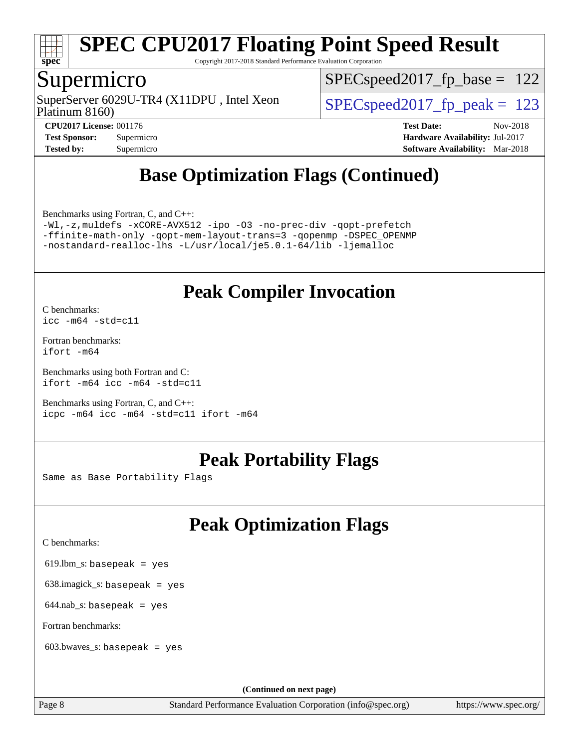

Copyright 2017-2018 Standard Performance Evaluation Corporation

## Supermicro

Platinum 8160) SuperServer 6029U-TR4 (X11DPU, Intel Xeon  $SPEC speed2017$  fp\_peak = 123

SPECspeed2017 fp base =  $122$ 

**[CPU2017 License:](http://www.spec.org/auto/cpu2017/Docs/result-fields.html#CPU2017License)** 001176 **[Test Date:](http://www.spec.org/auto/cpu2017/Docs/result-fields.html#TestDate)** Nov-2018 **[Test Sponsor:](http://www.spec.org/auto/cpu2017/Docs/result-fields.html#TestSponsor)** Supermicro **[Hardware Availability:](http://www.spec.org/auto/cpu2017/Docs/result-fields.html#HardwareAvailability)** Jul-2017 **[Tested by:](http://www.spec.org/auto/cpu2017/Docs/result-fields.html#Testedby)** Supermicro **[Software Availability:](http://www.spec.org/auto/cpu2017/Docs/result-fields.html#SoftwareAvailability)** Mar-2018

# **[Base Optimization Flags \(Continued\)](http://www.spec.org/auto/cpu2017/Docs/result-fields.html#BaseOptimizationFlags)**

[Benchmarks using Fortran, C, and C++:](http://www.spec.org/auto/cpu2017/Docs/result-fields.html#BenchmarksusingFortranCandCXX)

[-Wl,-z,muldefs](http://www.spec.org/cpu2017/results/res2018q4/cpu2017-20181112-09661.flags.html#user_CC_CXX_FCbase_link_force_multiple1_b4cbdb97b34bdee9ceefcfe54f4c8ea74255f0b02a4b23e853cdb0e18eb4525ac79b5a88067c842dd0ee6996c24547a27a4b99331201badda8798ef8a743f577) [-xCORE-AVX512](http://www.spec.org/cpu2017/results/res2018q4/cpu2017-20181112-09661.flags.html#user_CC_CXX_FCbase_f-xCORE-AVX512) [-ipo](http://www.spec.org/cpu2017/results/res2018q4/cpu2017-20181112-09661.flags.html#user_CC_CXX_FCbase_f-ipo) [-O3](http://www.spec.org/cpu2017/results/res2018q4/cpu2017-20181112-09661.flags.html#user_CC_CXX_FCbase_f-O3) [-no-prec-div](http://www.spec.org/cpu2017/results/res2018q4/cpu2017-20181112-09661.flags.html#user_CC_CXX_FCbase_f-no-prec-div) [-qopt-prefetch](http://www.spec.org/cpu2017/results/res2018q4/cpu2017-20181112-09661.flags.html#user_CC_CXX_FCbase_f-qopt-prefetch) [-ffinite-math-only](http://www.spec.org/cpu2017/results/res2018q4/cpu2017-20181112-09661.flags.html#user_CC_CXX_FCbase_f_finite_math_only_cb91587bd2077682c4b38af759c288ed7c732db004271a9512da14a4f8007909a5f1427ecbf1a0fb78ff2a814402c6114ac565ca162485bbcae155b5e4258871) [-qopt-mem-layout-trans=3](http://www.spec.org/cpu2017/results/res2018q4/cpu2017-20181112-09661.flags.html#user_CC_CXX_FCbase_f-qopt-mem-layout-trans_de80db37974c74b1f0e20d883f0b675c88c3b01e9d123adea9b28688d64333345fb62bc4a798493513fdb68f60282f9a726aa07f478b2f7113531aecce732043) [-qopenmp](http://www.spec.org/cpu2017/results/res2018q4/cpu2017-20181112-09661.flags.html#user_CC_CXX_FCbase_qopenmp_16be0c44f24f464004c6784a7acb94aca937f053568ce72f94b139a11c7c168634a55f6653758ddd83bcf7b8463e8028bb0b48b77bcddc6b78d5d95bb1df2967) [-DSPEC\\_OPENMP](http://www.spec.org/cpu2017/results/res2018q4/cpu2017-20181112-09661.flags.html#suite_CC_CXX_FCbase_DSPEC_OPENMP) [-nostandard-realloc-lhs](http://www.spec.org/cpu2017/results/res2018q4/cpu2017-20181112-09661.flags.html#user_CC_CXX_FCbase_f_2003_std_realloc_82b4557e90729c0f113870c07e44d33d6f5a304b4f63d4c15d2d0f1fab99f5daaed73bdb9275d9ae411527f28b936061aa8b9c8f2d63842963b95c9dd6426b8a) [-L/usr/local/je5.0.1-64/lib](http://www.spec.org/cpu2017/results/res2018q4/cpu2017-20181112-09661.flags.html#user_CC_CXX_FCbase_jemalloc_link_path64_4b10a636b7bce113509b17f3bd0d6226c5fb2346b9178c2d0232c14f04ab830f976640479e5c33dc2bcbbdad86ecfb6634cbbd4418746f06f368b512fced5394) [-ljemalloc](http://www.spec.org/cpu2017/results/res2018q4/cpu2017-20181112-09661.flags.html#user_CC_CXX_FCbase_jemalloc_link_lib_d1249b907c500fa1c0672f44f562e3d0f79738ae9e3c4a9c376d49f265a04b9c99b167ecedbf6711b3085be911c67ff61f150a17b3472be731631ba4d0471706)

## **[Peak Compiler Invocation](http://www.spec.org/auto/cpu2017/Docs/result-fields.html#PeakCompilerInvocation)**

[C benchmarks](http://www.spec.org/auto/cpu2017/Docs/result-fields.html#Cbenchmarks): [icc -m64 -std=c11](http://www.spec.org/cpu2017/results/res2018q4/cpu2017-20181112-09661.flags.html#user_CCpeak_intel_icc_64bit_c11_33ee0cdaae7deeeab2a9725423ba97205ce30f63b9926c2519791662299b76a0318f32ddfffdc46587804de3178b4f9328c46fa7c2b0cd779d7a61945c91cd35)

[Fortran benchmarks](http://www.spec.org/auto/cpu2017/Docs/result-fields.html#Fortranbenchmarks): [ifort -m64](http://www.spec.org/cpu2017/results/res2018q4/cpu2017-20181112-09661.flags.html#user_FCpeak_intel_ifort_64bit_24f2bb282fbaeffd6157abe4f878425411749daecae9a33200eee2bee2fe76f3b89351d69a8130dd5949958ce389cf37ff59a95e7a40d588e8d3a57e0c3fd751)

[Benchmarks using both Fortran and C](http://www.spec.org/auto/cpu2017/Docs/result-fields.html#BenchmarksusingbothFortranandC): [ifort -m64](http://www.spec.org/cpu2017/results/res2018q4/cpu2017-20181112-09661.flags.html#user_CC_FCpeak_intel_ifort_64bit_24f2bb282fbaeffd6157abe4f878425411749daecae9a33200eee2bee2fe76f3b89351d69a8130dd5949958ce389cf37ff59a95e7a40d588e8d3a57e0c3fd751) [icc -m64 -std=c11](http://www.spec.org/cpu2017/results/res2018q4/cpu2017-20181112-09661.flags.html#user_CC_FCpeak_intel_icc_64bit_c11_33ee0cdaae7deeeab2a9725423ba97205ce30f63b9926c2519791662299b76a0318f32ddfffdc46587804de3178b4f9328c46fa7c2b0cd779d7a61945c91cd35)

[Benchmarks using Fortran, C, and C++:](http://www.spec.org/auto/cpu2017/Docs/result-fields.html#BenchmarksusingFortranCandCXX) [icpc -m64](http://www.spec.org/cpu2017/results/res2018q4/cpu2017-20181112-09661.flags.html#user_CC_CXX_FCpeak_intel_icpc_64bit_4ecb2543ae3f1412ef961e0650ca070fec7b7afdcd6ed48761b84423119d1bf6bdf5cad15b44d48e7256388bc77273b966e5eb805aefd121eb22e9299b2ec9d9) [icc -m64 -std=c11](http://www.spec.org/cpu2017/results/res2018q4/cpu2017-20181112-09661.flags.html#user_CC_CXX_FCpeak_intel_icc_64bit_c11_33ee0cdaae7deeeab2a9725423ba97205ce30f63b9926c2519791662299b76a0318f32ddfffdc46587804de3178b4f9328c46fa7c2b0cd779d7a61945c91cd35) [ifort -m64](http://www.spec.org/cpu2017/results/res2018q4/cpu2017-20181112-09661.flags.html#user_CC_CXX_FCpeak_intel_ifort_64bit_24f2bb282fbaeffd6157abe4f878425411749daecae9a33200eee2bee2fe76f3b89351d69a8130dd5949958ce389cf37ff59a95e7a40d588e8d3a57e0c3fd751)

# **[Peak Portability Flags](http://www.spec.org/auto/cpu2017/Docs/result-fields.html#PeakPortabilityFlags)**

Same as Base Portability Flags

# **[Peak Optimization Flags](http://www.spec.org/auto/cpu2017/Docs/result-fields.html#PeakOptimizationFlags)**

[C benchmarks](http://www.spec.org/auto/cpu2017/Docs/result-fields.html#Cbenchmarks):

619.lbm\_s: basepeak = yes

638.imagick\_s: basepeak = yes

 $644$ .nab\_s: basepeak = yes

[Fortran benchmarks](http://www.spec.org/auto/cpu2017/Docs/result-fields.html#Fortranbenchmarks):

603.bwaves\_s: basepeak = yes

**(Continued on next page)**

Page 8 Standard Performance Evaluation Corporation [\(info@spec.org\)](mailto:info@spec.org) <https://www.spec.org/>